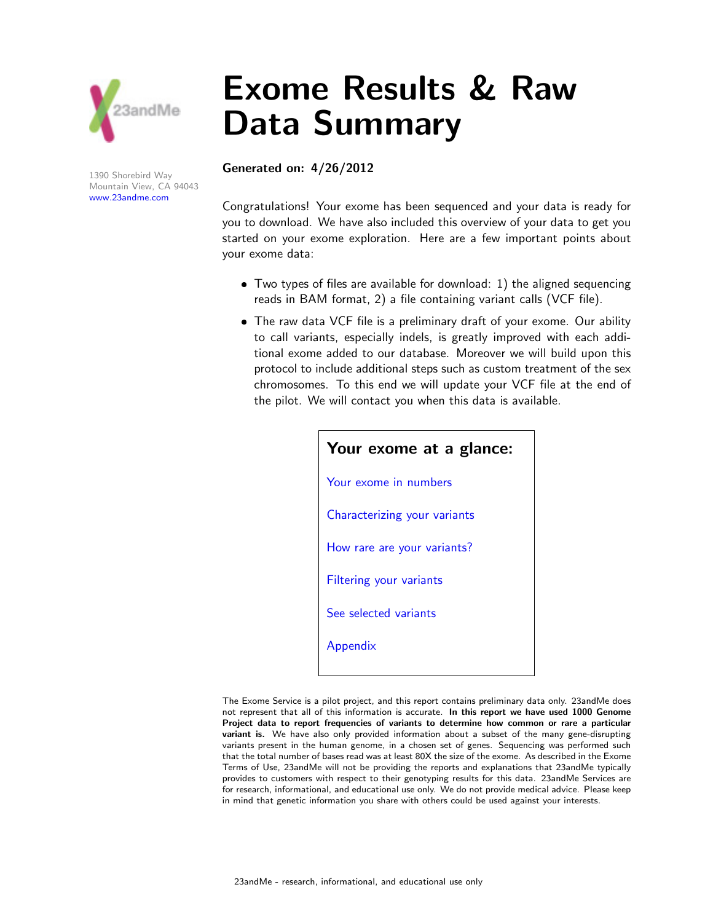

1390 Shorebird Way Mountain View, CA 94043 www.23andme.com

# Exome Results & Raw Data Summary

#### Generated on: 4/26/2012

Congratulations! Your exome has been sequenced and your data is ready for you to download. We have also included this overview of your data to get you started on your exome exploration. Here are a few important points about your exome data:

- Two types of files are available for download: 1) the aligned sequencing reads in BAM format, 2) a file containing variant calls (VCF file).
- The raw data VCF file is a preliminary draft of your exome. Our ability to call variants, especially indels, is greatly improved with each additional exome added to our database. Moreover we will build upon this protocol to include additional steps such as custom treatment of the sex chromosomes. To this end we will update your VCF file at the end of the pilot. We will contact you when this data is available.

| Your exome at a glance:        |
|--------------------------------|
| Your exome in numbers          |
| Characterizing your variants   |
| How rare are your variants?    |
| <b>Filtering your variants</b> |
| See selected variants          |
| Appendix                       |
|                                |

The Exome Service is a pilot project, and this report contains preliminary data only. 23andMe does not represent that all of this information is accurate. In this report we have used 1000 Genome Project data to report frequencies of variants to determine how common or rare a particular variant is. We have also only provided information about a subset of the many gene-disrupting variants present in the human genome, in a chosen set of genes. Sequencing was performed such that the total number of bases read was at least 80X the size of the exome. As described in the Exome Terms of Use, 23andMe will not be providing the reports and explanations that 23andMe typically provides to customers with respect to their genotyping results for this data. 23andMe Services are for research, informational, and educational use only. We do not provide medical advice. Please keep in mind that genetic information you share with others could be used against your interests.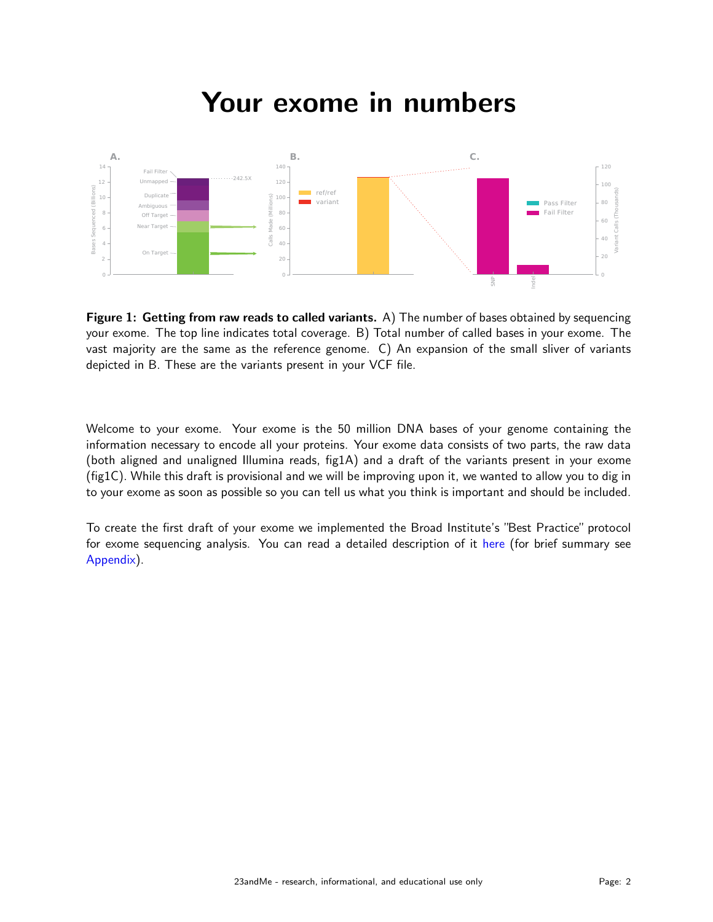### Your exome in numbers



Figure 1: Getting from raw reads to called variants. A) The number of bases obtained by sequencing your exome. The top line indicates total coverage. B) Total number of called bases in your exome. The vast majority are the same as the reference genome. C) An expansion of the small sliver of variants depicted in B. These are the variants present in your VCF file.

Welcome to your exome. Your exome is the 50 million DNA bases of your genome containing the information necessary to encode all your proteins. Your exome data consists of two parts, the raw data (both aligned and unaligned Illumina reads, fig1A) and a draft of the variants present in your exome (fig1C). While this draft is provisional and we will be improving upon it, we wanted to allow you to dig in to your exome as soon as possible so you can tell us what you think is important and should be included.

To create the first draft of your exome we implemented the Broad Institute's "Best Practice" protocol for exome sequencing analysis. You can read a detailed description of it here (for brief summary see Appendix).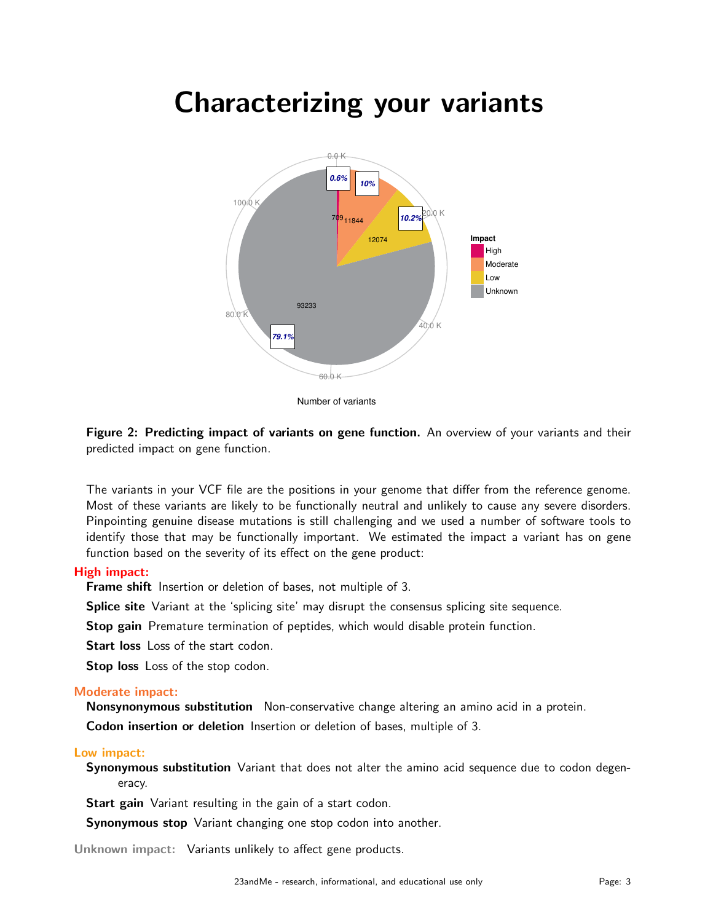### Characterizing your variants



Number of variants

Figure 2: Predicting impact of variants on gene function. An overview of your variants and their predicted impact on gene function.

The variants in your VCF file are the positions in your genome that differ from the reference genome. Most of these variants are likely to be functionally neutral and unlikely to cause any severe disorders. Pinpointing genuine disease mutations is still challenging and we used a number of software tools to identify those that may be functionally important. We estimated the impact a variant has on gene function based on the severity of its effect on the gene product:

#### High impact:

**Frame shift** Insertion or deletion of bases, not multiple of 3.

Splice site Variant at the 'splicing site' may disrupt the consensus splicing site sequence.

Stop gain Premature termination of peptides, which would disable protein function.

Start loss Loss of the start codon.

Stop loss Loss of the stop codon.

#### Moderate impact:

Nonsynonymous substitution Non-conservative change altering an amino acid in a protein.

Codon insertion or deletion Insertion or deletion of bases, multiple of 3.

#### Low impact:

Synonymous substitution Variant that does not alter the amino acid sequence due to codon degeneracy.

Start gain Variant resulting in the gain of a start codon.

**Synonymous stop** Variant changing one stop codon into another.

Unknown impact: Variants unlikely to affect gene products.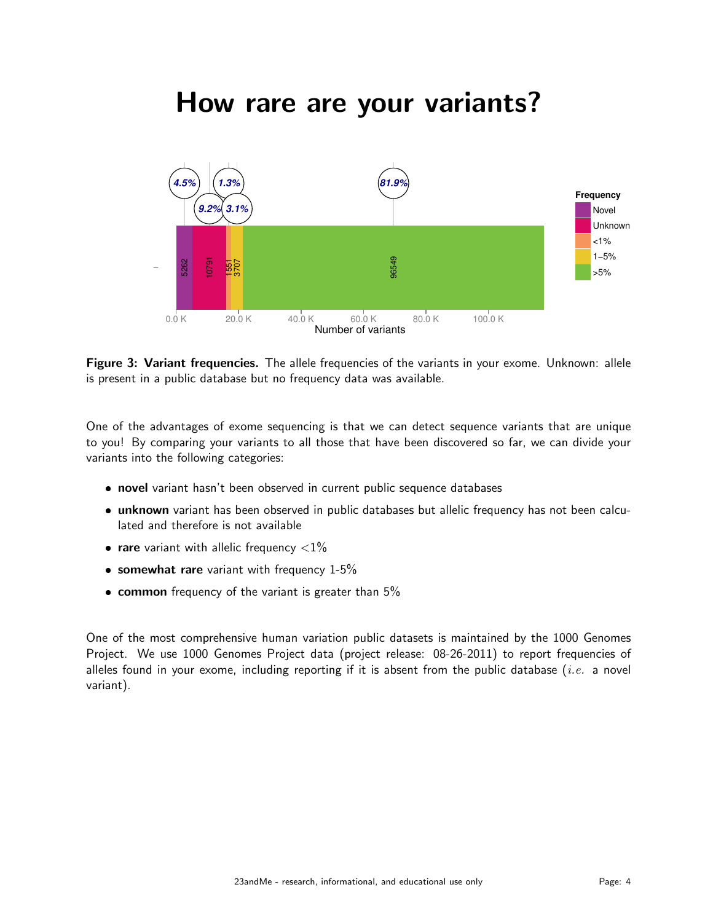### How rare are your variants?



Figure 3: Variant frequencies. The allele frequencies of the variants in your exome. Unknown: allele is present in a public database but no frequency data was available.

One of the advantages of exome sequencing is that we can detect sequence variants that are unique to you! By comparing your variants to all those that have been discovered so far, we can divide your variants into the following categories:

- novel variant hasn't been observed in current public sequence databases
- **unknown** variant has been observed in public databases but allelic frequency has not been calculated and therefore is not available
- **rare** variant with allelic frequency  $\langle 1\%$
- $\bullet$  somewhat rare variant with frequency 1-5%
- common frequency of the variant is greater than 5%

One of the most comprehensive human variation public datasets is maintained by the 1000 Genomes Project. We use 1000 Genomes Project data (project release: 08-26-2011) to report frequencies of alleles found in your exome, including reporting if it is absent from the public database (*i.e.* a novel variant).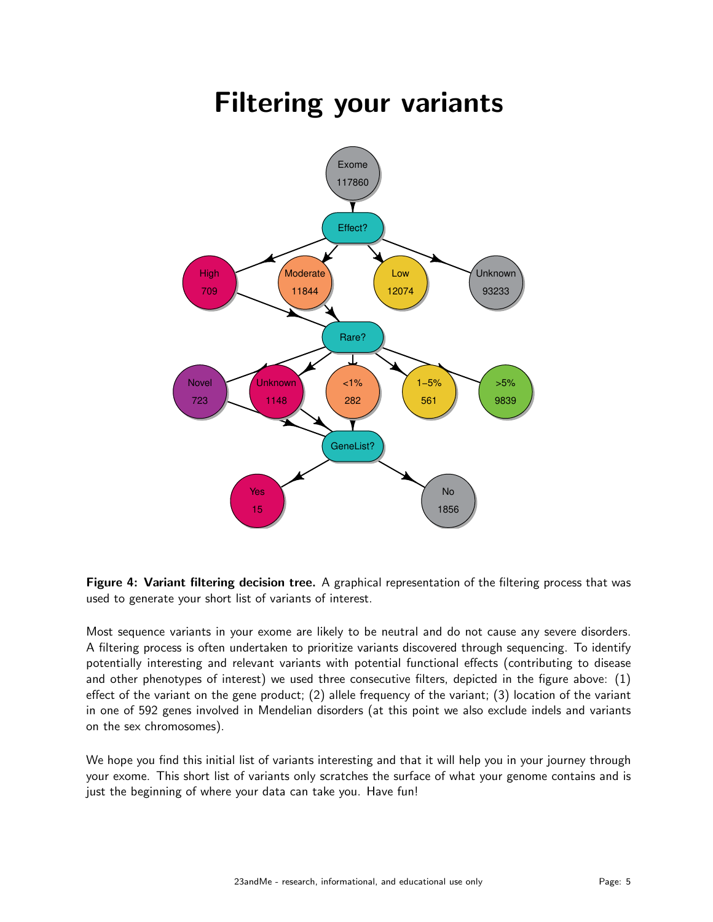## Filtering your variants



Figure 4: Variant filtering decision tree. A graphical representation of the filtering process that was used to generate your short list of variants of interest.

Most sequence variants in your exome are likely to be neutral and do not cause any severe disorders. A filtering process is often undertaken to prioritize variants discovered through sequencing. To identify potentially interesting and relevant variants with potential functional effects (contributing to disease and other phenotypes of interest) we used three consecutive filters, depicted in the figure above: (1) effect of the variant on the gene product; (2) allele frequency of the variant; (3) location of the variant in one of 592 genes involved in Mendelian disorders (at this point we also exclude indels and variants on the sex chromosomes).

We hope you find this initial list of variants interesting and that it will help you in your journey through your exome. This short list of variants only scratches the surface of what your genome contains and is just the beginning of where your data can take you. Have fun!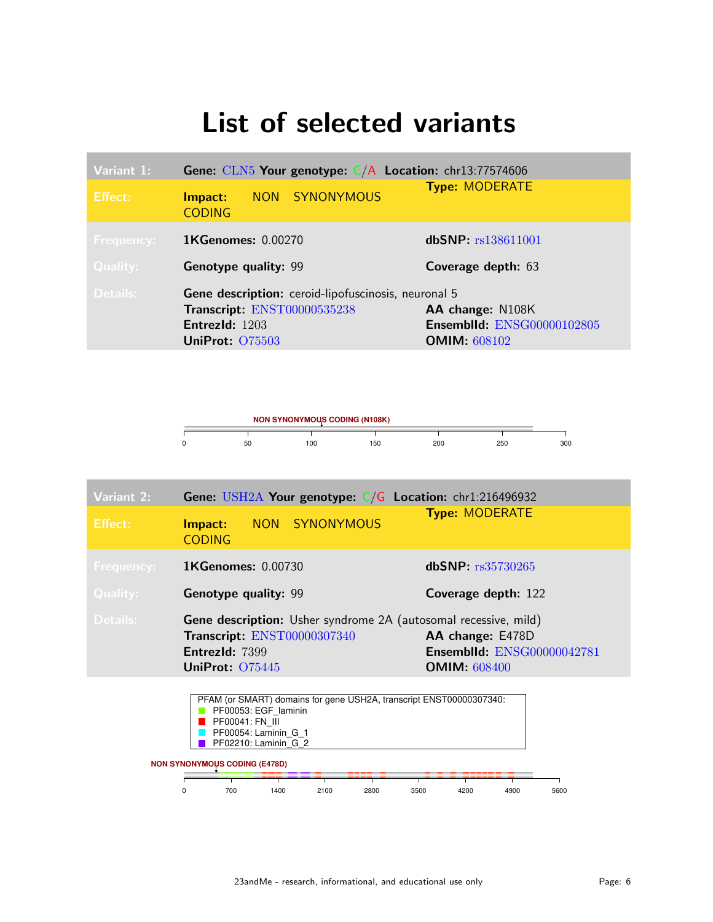### List of selected variants

| Variant 1:      | Gene: $CLN5$ Your genotype: $C/A$ Location: chr13:77574606 |                                   |  |  |
|-----------------|------------------------------------------------------------|-----------------------------------|--|--|
| <b>Effect:</b>  | NON SYNONYMOUS<br>Impact:<br><b>CODING</b>                 | <b>Type: MODERATE</b>             |  |  |
| Frequency:      | <b>1KGenomes: 0.00270</b>                                  | dbSNP: rs138611001                |  |  |
| <b>Quality:</b> | <b>Genotype quality: 99</b>                                | Coverage depth: 63                |  |  |
| Details:        | Gene description: ceroid-lipofuscinosis, neuronal 5        |                                   |  |  |
|                 | Transcript: ENST00000535238                                | AA change: N108K                  |  |  |
|                 | EntrezId: 1203                                             | <b>Ensemblid: ENSG00000102805</b> |  |  |
|                 | UniProt: 075503                                            | <b>OMIM: 608102</b>               |  |  |



| Variant 2:        | Gene: USH2A Your genotype: $C/G$ Location: chr1:216496932              |  |                                   |  |
|-------------------|------------------------------------------------------------------------|--|-----------------------------------|--|
| Effect:           | NON SYNONYMOUS<br>Impact:<br><b>CODING</b>                             |  | <b>Type: MODERATE</b>             |  |
| <b>Frequency:</b> | <b>1KGenomes: 0.00730</b>                                              |  | dbSNP: rs35730265                 |  |
| <b>Quality:</b>   | <b>Genotype quality: 99</b>                                            |  | Coverage depth: 122               |  |
| Details:          | <b>Gene description:</b> Usher syndrome 2A (autosomal recessive, mild) |  |                                   |  |
|                   | Transcript: ENST00000307340                                            |  | AA change: E478D                  |  |
|                   | EntrezId: 7399                                                         |  | <b>Ensemblid: ENSG00000042781</b> |  |
|                   | UniProt: 075445                                                        |  | <b>OMIM: 608400</b>               |  |

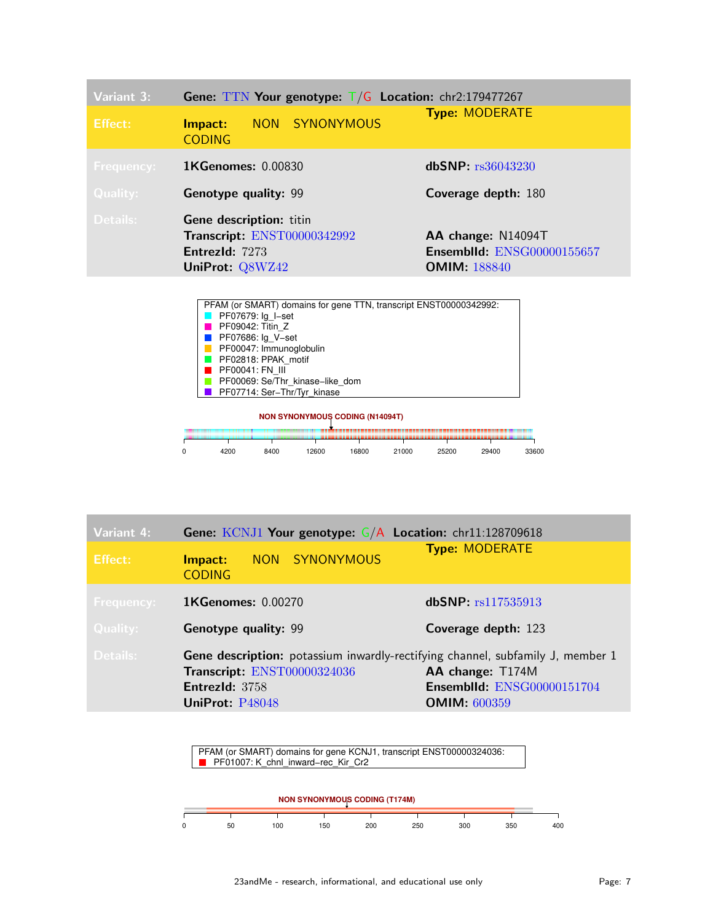| Variant 3:<br>Effect:                | Gene: TTN Your genotype: $T/G$ Location: chr2:179477267<br>NON SYNONYMOUS<br>Impact:<br><b>CODING</b> | <b>Type: MODERATE</b>                                                          |
|--------------------------------------|-------------------------------------------------------------------------------------------------------|--------------------------------------------------------------------------------|
| <b>Frequency:</b><br><b>Quality:</b> | <b>1KGenomes: 0.00830</b><br><b>Genotype quality: 99</b>                                              | dbSNP: rs36043230<br>Coverage depth: 180                                       |
| Details:                             | <b>Gene description: titin</b><br>Transcript: ENST00000342992<br>EntrezId: 7273<br>UniProt: Q8WZ42    | AA change: N14094T<br><b>Ensemblid: ENSG00000155657</b><br><b>OMIM: 188840</b> |

| PFAM (or SMART) domains for gene TTN, transcript ENST00000342992: |
|-------------------------------------------------------------------|
| <b>PF07679:</b> Ig I-set                                          |
| $\blacksquare$ PF09042: Titin Z                                   |
| <b>PF07686:</b> Ig V-set                                          |
| PF00047: Immunoglobulin                                           |
| PF02818: PPAK motif                                               |
| $\blacksquare$ PF00041: FN III                                    |
| PF00069: Se/Thr kinase-like dom                                   |
| <b>PF07714: Ser-Thr/Tyr kinase</b>                                |
|                                                                   |



| Variant 4:        | Gene: $KCNJ1$ Your genotype: $G/A$ Location: chr11:128709618                                                                                       |                                                                              |  |  |  |  |
|-------------------|----------------------------------------------------------------------------------------------------------------------------------------------------|------------------------------------------------------------------------------|--|--|--|--|
| Effect:           | NON SYNONYMOUS<br>Impact:<br><b>CODING</b>                                                                                                         | <b>Type: MODERATE</b>                                                        |  |  |  |  |
| <b>Frequency:</b> | <b>1KGenomes: 0.00270</b>                                                                                                                          | dbSNP: rs117535913                                                           |  |  |  |  |
| Quality:          | <b>Genotype quality: 99</b>                                                                                                                        | Coverage depth: 123                                                          |  |  |  |  |
| Details:          | Gene description: potassium inwardly-rectifying channel, subfamily J, member 1<br>Transcript: ENST00000324036<br>EntrezId: 3758<br>UniProt: P48048 | AA change: T174M<br><b>Ensemblid: ENSG00000151704</b><br><b>OMIM: 600359</b> |  |  |  |  |

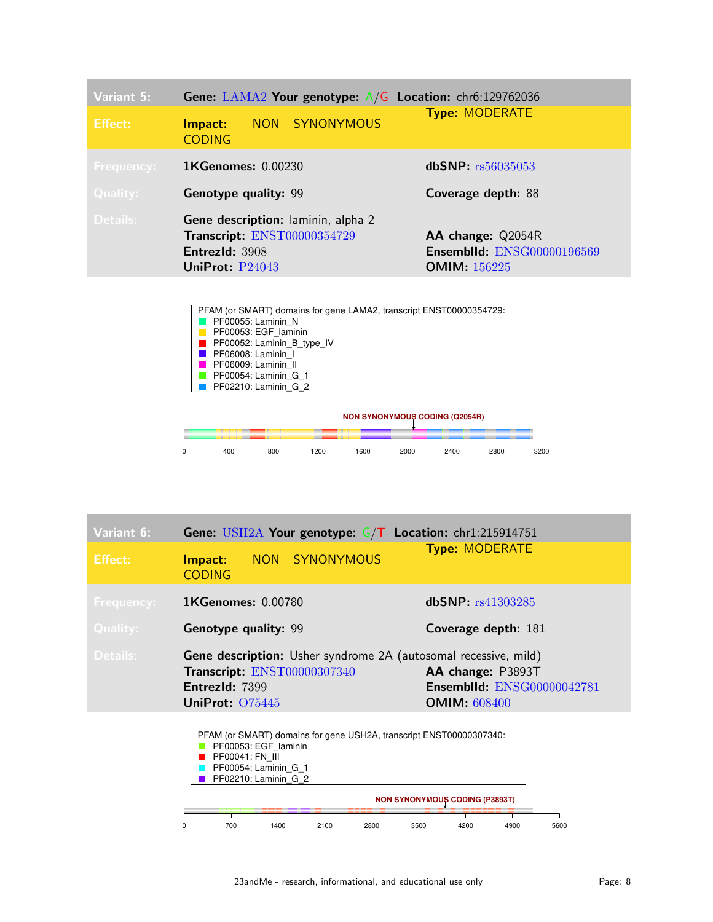| Variant 5:        | <b>Gene:</b> LAMA2 Your genotype: $A/G$ Location: chr6:129762036                                                | <b>Type: MODERATE</b>                                                         |  |
|-------------------|-----------------------------------------------------------------------------------------------------------------|-------------------------------------------------------------------------------|--|
| Effect:           | NON SYNONYMOUS<br>Impact:<br><b>CODING</b>                                                                      |                                                                               |  |
| <b>Frequency:</b> | <b>1KGenomes: 0.00230</b>                                                                                       | dbSNP: rs56035053                                                             |  |
| <b>Quality:</b>   | <b>Genotype quality: 99</b>                                                                                     | Coverage depth: 88                                                            |  |
| Details:          | <b>Gene description:</b> laminin, alpha 2<br>Transcript: ENST00000354729<br>EntrezId: 3908<br>UniProt: $P24043$ | AA change: Q2054R<br><b>Ensemblid: ENSG00000196569</b><br><b>OMIM: 156225</b> |  |





| Variant 6:        | Gene: USH2A Your genotype: $G/T$ Location: chr1:215914751                                                                                  |                                                                               |
|-------------------|--------------------------------------------------------------------------------------------------------------------------------------------|-------------------------------------------------------------------------------|
| <b>Effect:</b>    | NON SYNONYMOUS<br>Impact:<br><b>CODING</b>                                                                                                 | <b>Type: MODERATE</b>                                                         |
| <b>Frequency:</b> | <b>1KGenomes: 0.00780</b>                                                                                                                  | dbSNP: rs41303285                                                             |
| Quality:          | <b>Genotype quality: 99</b>                                                                                                                | Coverage depth: 181                                                           |
| Details:          | <b>Gene description:</b> Usher syndrome 2A (autosomal recessive, mild)<br>Transcript: ENST00000307340<br>EntrezId: 7399<br>UniProt: 075445 | AA change: P3893T<br><b>Ensemblid: ENSG00000042781</b><br><b>OMIM: 608400</b> |

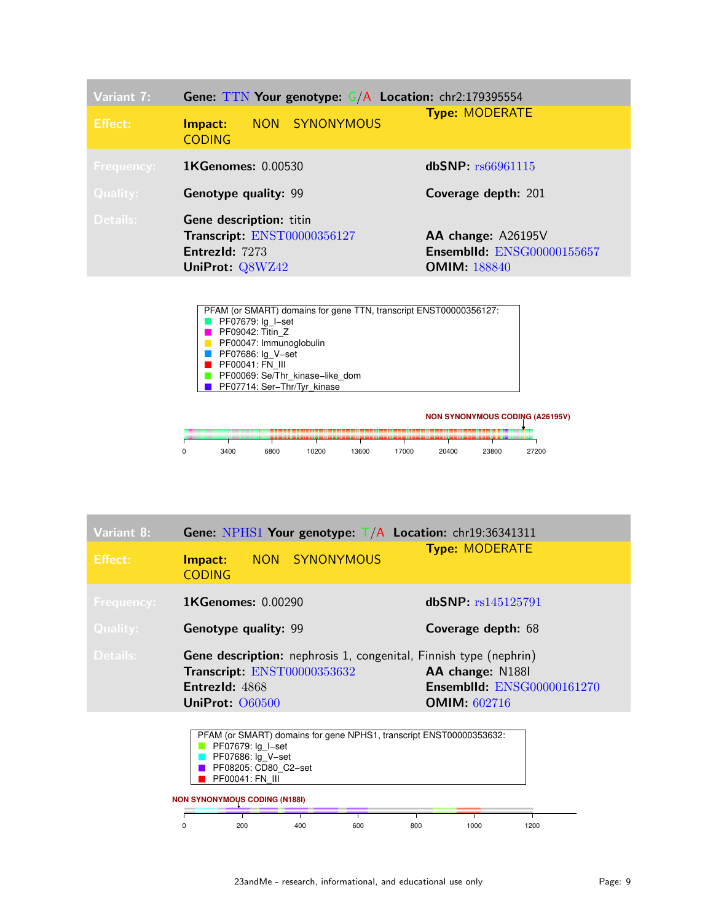| Variant 7:<br>Effect:         | <b>Gene: TTN Your genotype: <math>G/A</math> Location:</b> chr2:179395554<br>NON SYNONYMOUS<br>Impact:<br><b>CODING</b> | <b>Type: MODERATE</b>                                                          |
|-------------------------------|-------------------------------------------------------------------------------------------------------------------------|--------------------------------------------------------------------------------|
| <b>Frequency:</b><br>Quality: | <b>1KGenomes: 0.00530</b><br><b>Genotype quality: 99</b>                                                                | dbSNP: rs66961115<br>Coverage depth: 201                                       |
| Details:                      | <b>Gene description: titin</b><br>Transcript: ENST00000356127<br>EntrezId: 7273<br>UniProt: Q8WZ42                      | AA change: A26195V<br><b>Ensemblid: ENSG00000155657</b><br><b>OMIM: 188840</b> |





| Variant 8:        | Gene: NPHS1 Your genotype: $T/A$ Location: chr19:36341311                                                                                    |                                                                                                                       |  |  |  |
|-------------------|----------------------------------------------------------------------------------------------------------------------------------------------|-----------------------------------------------------------------------------------------------------------------------|--|--|--|
| <b>Effect:</b>    | NON SYNONYMOUS<br>Impact:<br><b>CODING</b>                                                                                                   | <b>Type: MODERATE</b>                                                                                                 |  |  |  |
| <b>Frequency:</b> | <b>1KGenomes: 0.00290</b>                                                                                                                    | dbSNP: rs145125791                                                                                                    |  |  |  |
| <b>Quality:</b>   | <b>Genotype quality: 99</b>                                                                                                                  | Coverage depth: 68                                                                                                    |  |  |  |
| Details:          | Gene description: nephrosis 1, congenital, Finnish type (nephrin)<br>Transcript: ENST00000353632<br><b>Entrezid: 4868</b><br>UniProt: 060500 | AA change: N188I<br><b>Ensemblid: ENSG00000161270</b><br><b>OMIM: 602716</b>                                          |  |  |  |
|                   | $\blacksquare$<br>$\frac{1}{2}$                                                                                                              | $\cdot$ $\cdot$ $\sim$ $\cdot$ $\cdot$ $\sim$ $\cdot$ $\sim$ $\cdot$ $\sim$ $\sim$ $\sim$ $\sim$ $\sim$ $\sim$ $\sim$ |  |  |  |

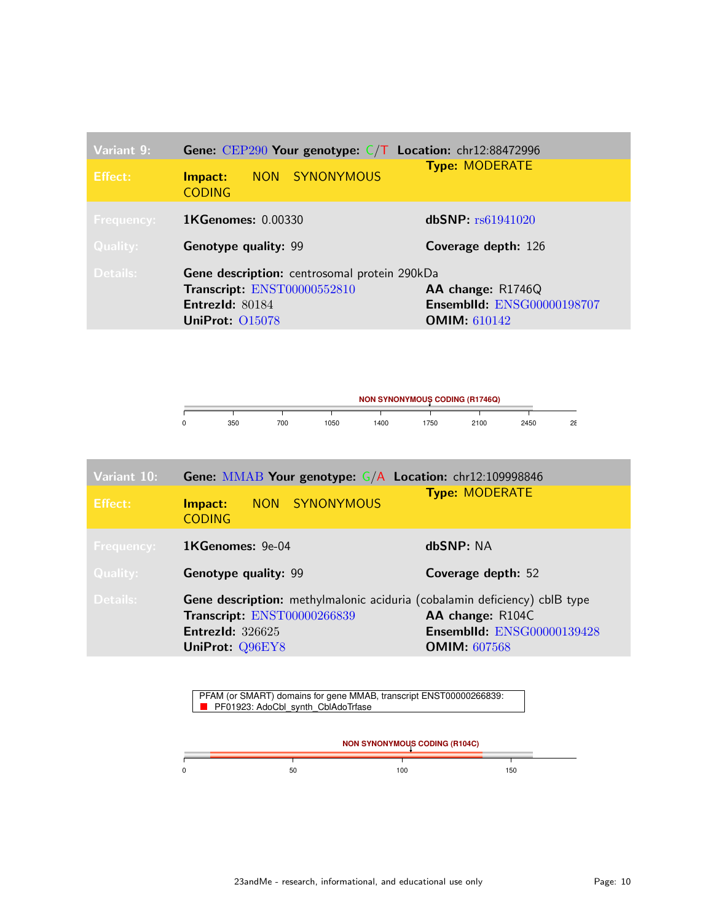| Variant 9:        | <b>Gene:</b> CEP290 Your genotype: $C/T$ Location: chr12:88472996                                                               |                                                                               |  |  |  |
|-------------------|---------------------------------------------------------------------------------------------------------------------------------|-------------------------------------------------------------------------------|--|--|--|
| <b>Effect:</b>    | NON SYNONYMOUS<br>Impact:<br><b>CODING</b>                                                                                      | <b>Type: MODERATE</b>                                                         |  |  |  |
| <b>Frequency:</b> | <b>1KGenomes: 0.00330</b>                                                                                                       | dbSNP: rs61941020                                                             |  |  |  |
| <b>Quality:</b>   | <b>Genotype quality: 99</b>                                                                                                     | Coverage depth: 126                                                           |  |  |  |
| Details:          | Gene description: centrosomal protein 290kDa<br>Transcript: ENST00000552810<br><b>Entrezid: 80184</b><br><b>UniProt: 015078</b> | AA change: R1746Q<br><b>Ensemblid: ENSG00000198707</b><br><b>OMIM: 610142</b> |  |  |  |

| <b>NON SYNONYMOUS CODING (R1746Q)</b> |     |     |      |     |     |      |      |         |
|---------------------------------------|-----|-----|------|-----|-----|------|------|---------|
|                                       |     |     |      |     |     |      |      |         |
|                                       | 350 | 700 | 1050 | 400 | 750 | 2100 | 2450 | og<br>້ |

| Variant 10:     | <b>Gene: MMAB Your genotype: G/A Location: chr12:109998846</b>                                                                                                |                                                                              |
|-----------------|---------------------------------------------------------------------------------------------------------------------------------------------------------------|------------------------------------------------------------------------------|
| <b>Effect:</b>  | NON SYNONYMOUS<br>Impact:<br><b>CODING</b>                                                                                                                    | <b>Type: MODERATE</b>                                                        |
| Frequency:      | $1$ KGenomes: 9e-04                                                                                                                                           | dbSNP: NA                                                                    |
| <b>Quality:</b> | <b>Genotype quality: 99</b>                                                                                                                                   | Coverage depth: 52                                                           |
| Details:        | <b>Gene description:</b> methylmalonic aciduria (cobalamin deficiency) cblB type<br>Transcript: ENST00000266839<br><b>EntrezId: 326625</b><br>UniProt: Q96EY8 | AA change: R104C<br><b>Ensemblid: ENSG00000139428</b><br><b>OMIM: 607568</b> |

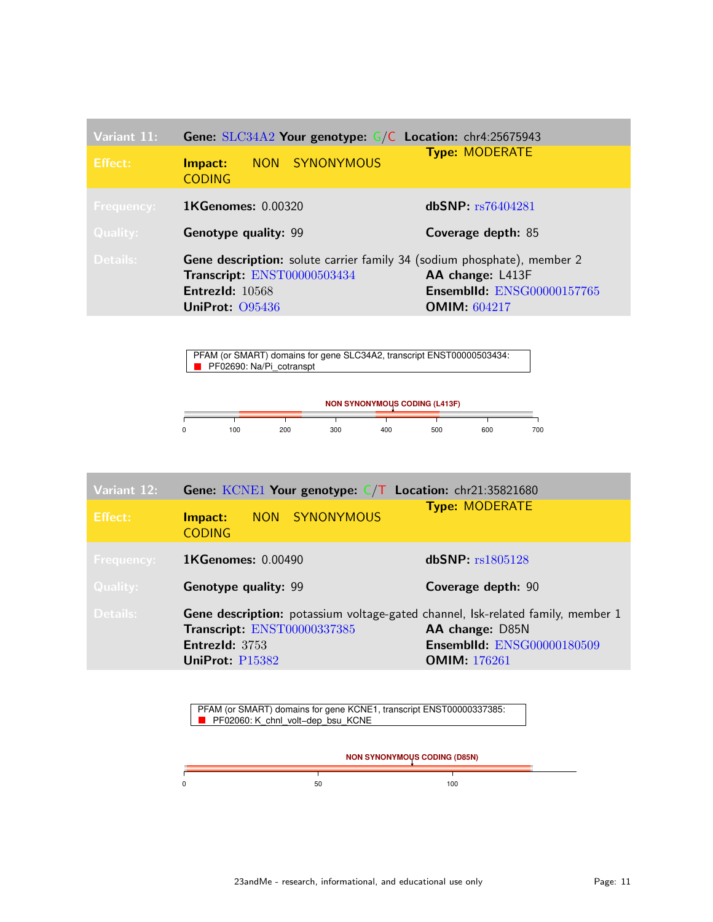| Variant 11:       | Gene: SLC34A2 Your genotype: G/C Location: chr4:25675943                       |                            |
|-------------------|--------------------------------------------------------------------------------|----------------------------|
| Effect:           | NON SYNONYMOUS<br>Impact:<br><b>CODING</b>                                     | <b>Type: MODERATE</b>      |
| <b>Frequency:</b> | <b>1KGenomes: 0.00320</b>                                                      | dbSNP: rs76404281          |
| <b>Quality:</b>   | <b>Genotype quality: 99</b>                                                    | Coverage depth: 85         |
| Details:          | <b>Gene description:</b> solute carrier family 34 (sodium phosphate), member 2 |                            |
|                   | Transcript: ENST00000503434                                                    | AA change: L413F           |
|                   | EntrezId: $10568$                                                              | Ensemblid: ENSG00000157765 |
|                   | UniProt: 095436                                                                | <b>OMIM:</b> $604217$      |

PFAM (or SMART) domains for gene SLC34A2, transcript ENST00000503434: PF02690: Na/Pi\_cotranspt



| Variant 12:       | <b>Gene:</b> KCNE1 Your genotype: $C/T$ Location: chr21:35821680                                                                                           |                                                                             |
|-------------------|------------------------------------------------------------------------------------------------------------------------------------------------------------|-----------------------------------------------------------------------------|
| <b>Effect:</b>    | NON SYNONYMOUS<br>Impact:<br><b>CODING</b>                                                                                                                 | <b>Type: MODERATE</b>                                                       |
| <b>Frequency:</b> | <b>1KGenomes: 0.00490</b>                                                                                                                                  | dbSNP: rs1805128                                                            |
| <b>Quality:</b>   | <b>Genotype quality: 99</b>                                                                                                                                | Coverage depth: 90                                                          |
| Details:          | <b>Gene description:</b> potassium voltage-gated channel, Isk-related family, member 1<br>Transcript: ENST00000337385<br>EntrezId: 3753<br>UniProt: P15382 | AA change: D85N<br><b>Ensemblid: ENSG00000180509</b><br><b>OMIM: 176261</b> |

PFAM (or SMART) domains for gene KCNE1, transcript ENST00000337385: PF02060: K\_chnl\_volt-dep\_bsu\_KCNE

|    | <b>NON SYNONYMOUS CODING (D85N)</b> |  |
|----|-------------------------------------|--|
| 50 | 100                                 |  |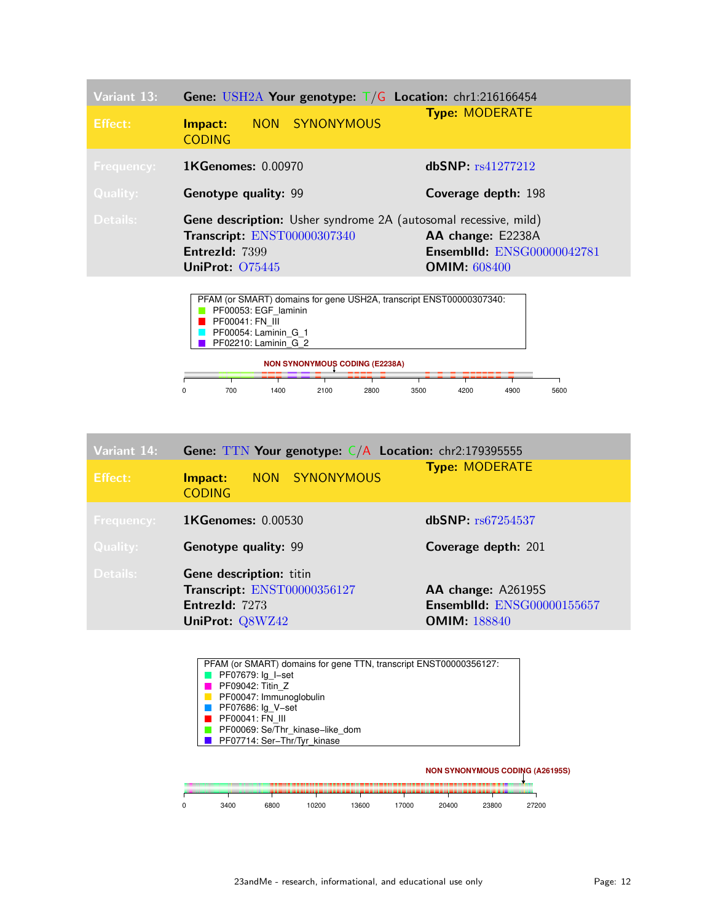| Variant 13:       | Gene: USH2A Your genotype: $T/G$ Location: chr1:216166454                                                                                  |                                                                               |
|-------------------|--------------------------------------------------------------------------------------------------------------------------------------------|-------------------------------------------------------------------------------|
| Effect:           | NON SYNONYMOUS<br>Impact:<br><b>CODING</b>                                                                                                 | <b>Type: MODERATE</b>                                                         |
| <b>Frequency:</b> | <b>1KGenomes: 0.00970</b>                                                                                                                  | dbSNP: rs41277212                                                             |
| Quality:          | <b>Genotype quality: 99</b>                                                                                                                | Coverage depth: 198                                                           |
| Details:          | <b>Gene description:</b> Usher syndrome 2A (autosomal recessive, mild)<br>Transcript: ENST00000307340<br>EntrezId: 7399<br>UniProt: 075445 | AA change: E2238A<br><b>Ensemblid: ENSG00000042781</b><br><b>OMIM:</b> 608400 |
|                   | PFAM (or SMART) domains for gene USH2A, transcript ENST00000307340:                                                                        |                                                                               |



| Variant 14:       | <b>Gene: TTN Your genotype: <math>C/A</math> Location:</b> chr2:179395555 |                |                                   |
|-------------------|---------------------------------------------------------------------------|----------------|-----------------------------------|
| <b>Effect:</b>    | Impact:<br><b>CODING</b>                                                  | NON SYNONYMOUS | <b>Type: MODERATE</b>             |
| <b>Frequency:</b> | <b>1KGenomes: 0.00530</b>                                                 |                | dbSNP: rs67254537                 |
| <b>Quality:</b>   | <b>Genotype quality: 99</b>                                               |                | Coverage depth: 201               |
| Details:          | <b>Gene description: titin</b>                                            |                |                                   |
|                   | Transcript: ENST00000356127                                               |                | AA change: A26195S                |
|                   | EntrezId: 7273                                                            |                | <b>Ensemblid: ENSG00000155657</b> |
|                   | UniProt: Q8WZ42                                                           |                | <b>OMIM: 188840</b>               |

| PF07679: Ig I-set               |  |
|---------------------------------|--|
| PF09042: Titin Z                |  |
| PF00047: Immunoglobulin         |  |
| PF07686: Ig V-set               |  |
| PF00041: FN III                 |  |
| PF00069: Se/Thr kinase-like dom |  |
| PF07714: Ser-Thr/Tyr kinase     |  |

|      |      |       |       |       |       |       | <b>NON SYNONYMOUS CODING (A26195S)</b> |
|------|------|-------|-------|-------|-------|-------|----------------------------------------|
|      |      |       |       |       |       |       |                                        |
|      |      |       |       |       |       |       |                                        |
| 3400 | 6800 | 10200 | 13600 | 17000 | 20400 | 23800 | 27200                                  |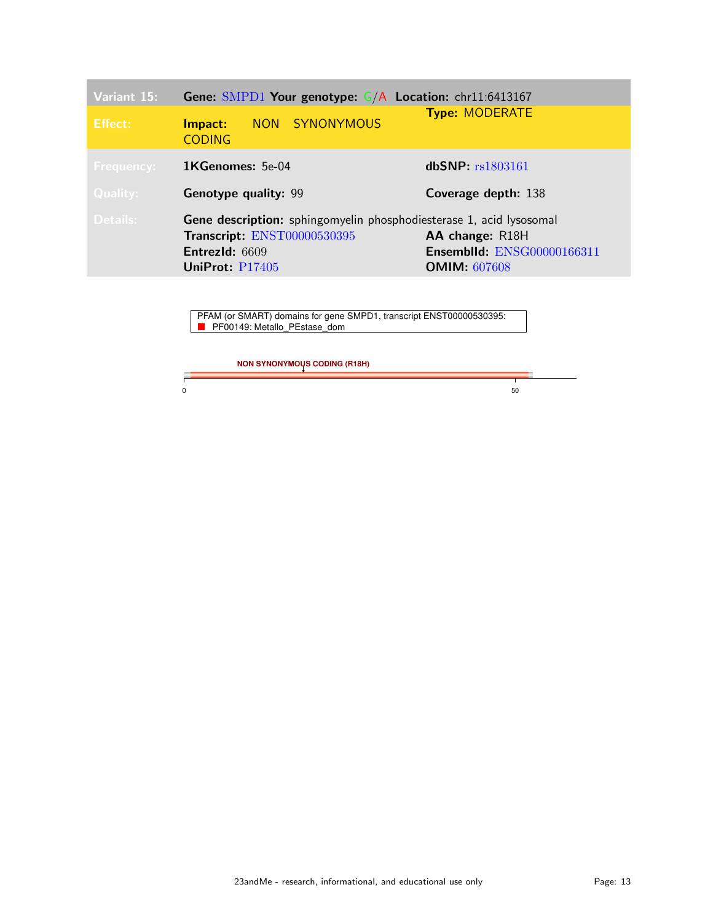| Variant 15:       | <b>Gene:</b> SMPD1 Your genotype: $G/A$ Location: chr11:6413167            |                                                      |
|-------------------|----------------------------------------------------------------------------|------------------------------------------------------|
| Effect:           | NON SYNONYMOUS<br>Impact:<br><b>CODING</b>                                 | <b>Type: MODERATE</b>                                |
| <b>Frequency:</b> | <b>1KGenomes:</b> 5e-04                                                    | dbSNP: rs1803161                                     |
| Quality:          | <b>Genotype quality: 99</b>                                                | Coverage depth: 138                                  |
|                   |                                                                            |                                                      |
| Details:          | <b>Gene description:</b> sphingomyelin phosphodiesterase 1, acid lysosomal |                                                      |
|                   | Transcript: ENST00000530395<br>EntrezId: 6609                              | AA change: R18H<br><b>Ensemblid: ENSG00000166311</b> |
|                   | UniProt: P17405                                                            | <b>OMIM: 607608</b>                                  |

PFAM (or SMART) domains for gene SMPD1, transcript ENST00000530395: PF00149: Metallo\_PEstase\_dom

**NON SYNONYMOUS CODING (R18H)**

 $0 \hspace{2.5cm} 50$